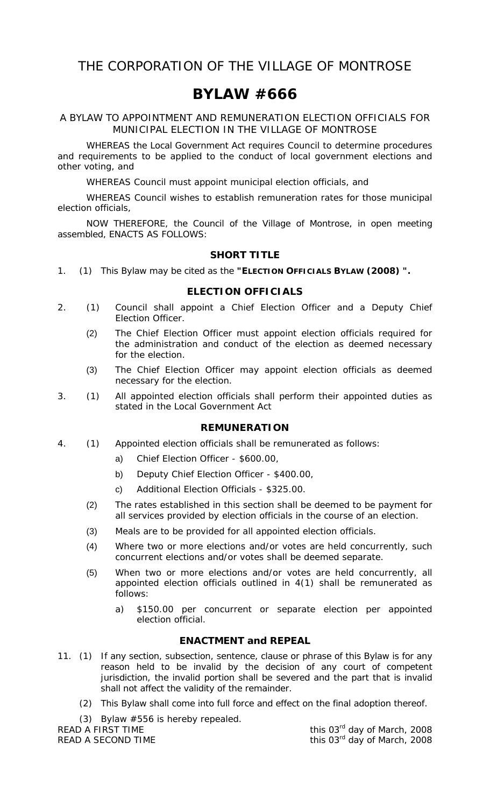# THE CORPORATION OF THE VILLAGE OF MONTROSE

# **BYLAW #666**

#### A BYLAW TO APPOINTMENT AND REMUNERATION ELECTION OFFICIALS FOR MUNICIPAL ELECTION IN THE VILLAGE OF MONTROSE

 WHEREAS the *Local Government Act* requires Council to determine procedures and requirements to be applied to the conduct of local government elections and other voting, and

WHEREAS Council must appoint municipal election officials, and

 WHEREAS Council wishes to establish remuneration rates for those municipal election officials,

 NOW THEREFORE, the Council of the Village of Montrose, in open meeting assembled, ENACTS AS FOLLOWS:

### **SHORT TITLE**

1. (1) This Bylaw may be cited as the **"ELECTION OFFICIALS BYLAW (2008) ".** 

### **ELECTION OFFICIALS**

- 2. (1) Council shall appoint a Chief Election Officer and a Deputy Chief Election Officer.
	- (2) The Chief Election Officer must appoint election officials required for the administration and conduct of the election as deemed necessary for the election.
	- (3) The Chief Election Officer may appoint election officials as deemed necessary for the election.
- 3. (1) All appointed election officials shall perform their appointed duties as stated in the *Local Government Act*

#### **REMUNERATION**

- 4. (1) Appointed election officials shall be remunerated as follows:
	- a) Chief Election Officer \$600.00,
	- b) Deputy Chief Election Officer \$400.00,
	- c) Additional Election Officials \$325.00.
	- (2) The rates established in this section shall be deemed to be payment for all services provided by election officials in the course of an election.
	- (3) Meals are to be provided for all appointed election officials.
	- (4) Where two or more elections and/or votes are held concurrently, such concurrent elections and/or votes shall be deemed separate.
	- (5) When two or more elections and/or votes are held concurrently, all appointed election officials outlined in 4(1) shall be remunerated as follows:
		- a) \$150.00 per concurrent or separate election per appointed election official.

#### **ENACTMENT and REPEAL**

- 11. (1) If any section, subsection, sentence, clause or phrase of this Bylaw is for any reason held to be invalid by the decision of any court of competent jurisdiction, the invalid portion shall be severed and the part that is invalid shall not affect the validity of the remainder.
	- (2) This Bylaw shall come into full force and effect on the final adoption thereof.
- (3) Bylaw #556 is hereby repealed.<br>READ A FIRST TIME

this 03<sup>rd</sup> day of March, 2008 READ A SECOND TIME  $R$  and  $R$  this 03<sup>rd</sup> day of March, 2008